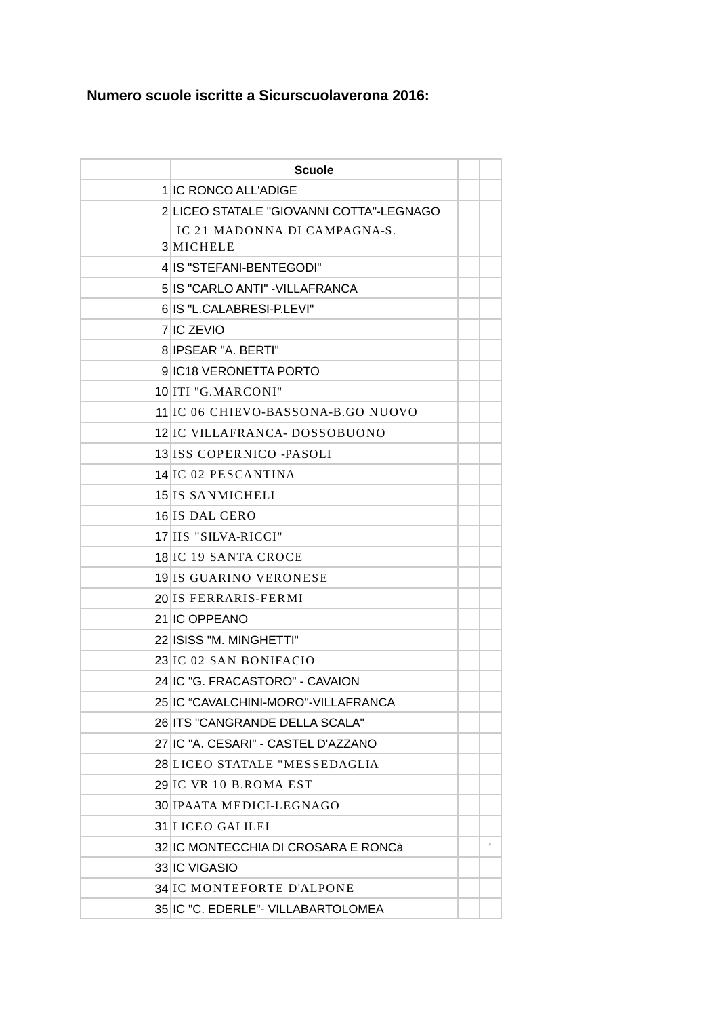## Numero scuole iscritte a Sicurscuolaverona 2016:

| <b>Scuole</b>                             |              |
|-------------------------------------------|--------------|
| 1 IC RONCO ALL'ADIGE                      |              |
| 2 LICEO STATALE "GIOVANNI COTTA"-LEGNAGO  |              |
| IC 21 MADONNA DI CAMPAGNA-S.<br>3 MICHELE |              |
| 4 IS "STEFANI-BENTEGODI"                  |              |
| 5 IS "CARLO ANTI" - VILLAFRANCA           |              |
| 6 IS "L.CALABRESI-P.LEVI"                 |              |
| 7 IC ZEVIO                                |              |
| 8 IPSEAR "A. BERTI"                       |              |
| 9 IC18 VERONETTA PORTO                    |              |
| 10 ITI "G.MARCONI"                        |              |
| 11 IC 06 CHIEVO-BASSONA-B.GO NUOVO        |              |
| 12 IC VILLAFRANCA- DOSSOBUONO             |              |
| 13 ISS COPERNICO - PASOLI                 |              |
| 14 IC 02 PESCANTINA                       |              |
| 15 IS SANMICHELI                          |              |
| 16 IS DAL CERO                            |              |
| 17 IIS "SILVA-RICCI"                      |              |
| 18 IC 19 SANTA CROCE                      |              |
| 19 IS GUARINO VERONESE                    |              |
| 20 IS FERRARIS-FERMI                      |              |
| 21 IC OPPEANO                             |              |
| 22 ISISS "M. MINGHETTI"                   |              |
| 23 IC 02 SAN BONIFACIO                    |              |
| 24 IC "G. FRACASTORO" - CAVAION           |              |
| 25 IC "CAVALCHINI-MORO"-VILLAFRANCA       |              |
| 26 ITS "CANGRANDE DELLA SCALA"            |              |
| 27 IC "A. CESARI" - CASTEL D'AZZANO       |              |
| 28 LICEO STATALE "MESSEDAGLIA             |              |
| 29 IC VR 10 B.ROMA EST                    |              |
| 30 IPAATA MEDICI-LEGNAGO                  |              |
| 31 LICEO GALILEI                          |              |
| 32 IC MONTECCHIA DI CROSARA E RONCà       | $\mathbf{I}$ |
| 33 IC VIGASIO                             |              |
| 34 IC MONTEFORTE D'ALPONE                 |              |
| 35 IC "C. EDERLE"- VILLABARTOLOMEA        |              |